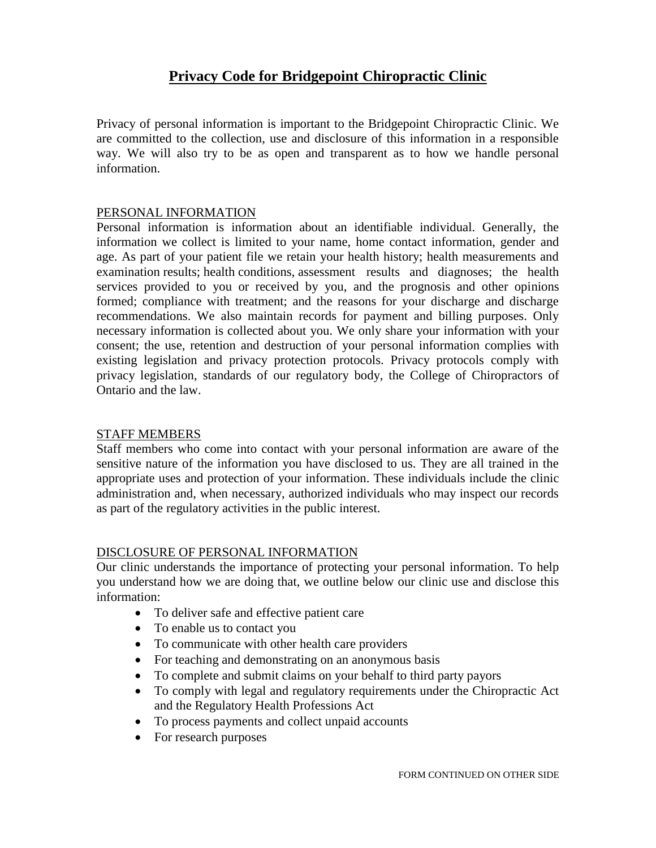# **Privacy Code for Bridgepoint Chiropractic Clinic**

Privacy of personal information is important to the Bridgepoint Chiropractic Clinic. We are committed to the collection, use and disclosure of this information in a responsible way. We will also try to be as open and transparent as to how we handle personal information.

## PERSONAL INFORMATION

Personal information is information about an identifiable individual. Generally, the information we collect is limited to your name, home contact information, gender and age. As part of your patient file we retain your health history; health measurements and examination results; health conditions, assessment results and diagnoses; the health services provided to you or received by you, and the prognosis and other opinions formed; compliance with treatment; and the reasons for your discharge and discharge recommendations. We also maintain records for payment and billing purposes. Only necessary information is collected about you. We only share your information with your consent; the use, retention and destruction of your personal information complies with existing legislation and privacy protection protocols. Privacy protocols comply with privacy legislation, standards of our regulatory body, the College of Chiropractors of Ontario and the law.

## STAFF MEMBERS

Staff members who come into contact with your personal information are aware of the sensitive nature of the information you have disclosed to us. They are all trained in the appropriate uses and protection of your information. These individuals include the clinic administration and, when necessary, authorized individuals who may inspect our records as part of the regulatory activities in the public interest.

## DISCLOSURE OF PERSONAL INFORMATION

Our clinic understands the importance of protecting your personal information. To help you understand how we are doing that, we outline below our clinic use and disclose this information:

- To deliver safe and effective patient care
- To enable us to contact you
- To communicate with other health care providers
- For teaching and demonstrating on an anonymous basis
- To complete and submit claims on your behalf to third party payors
- To comply with legal and regulatory requirements under the Chiropractic Act and the Regulatory Health Professions Act
- To process payments and collect unpaid accounts
- For research purposes